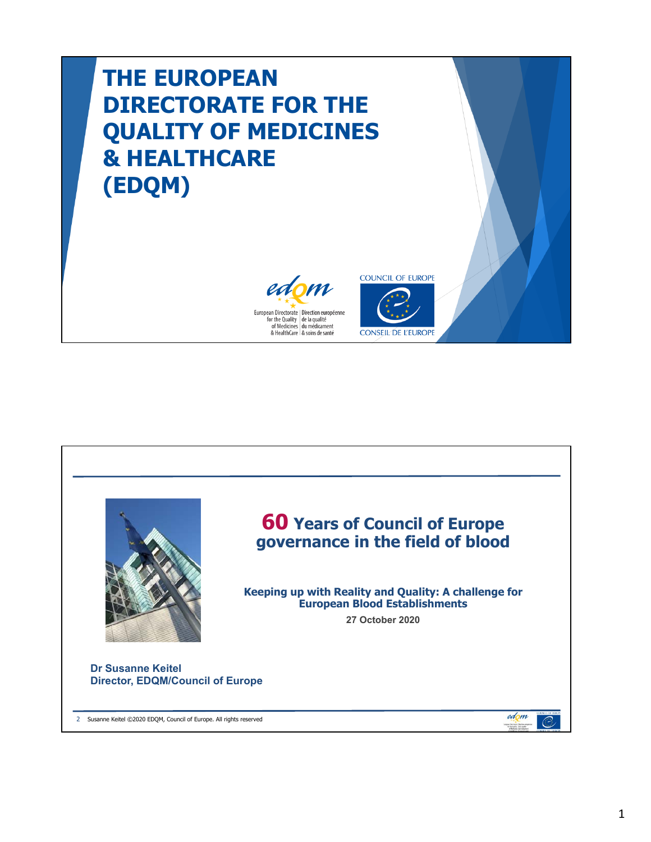## **THE EUROPEAN DIRECTORATE FOR THE QUALITY OF MEDICINES & HEALTHCARE (EDQM)**





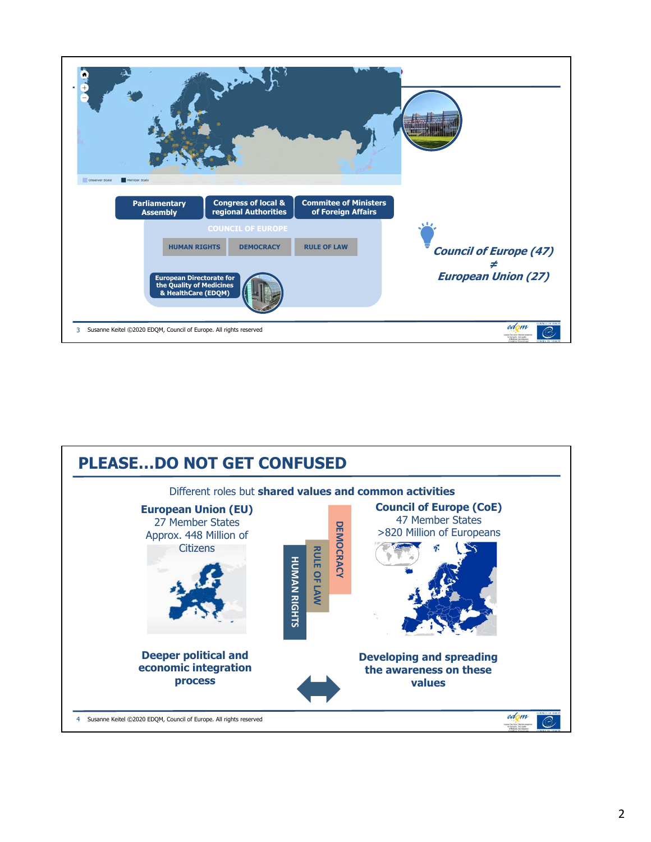

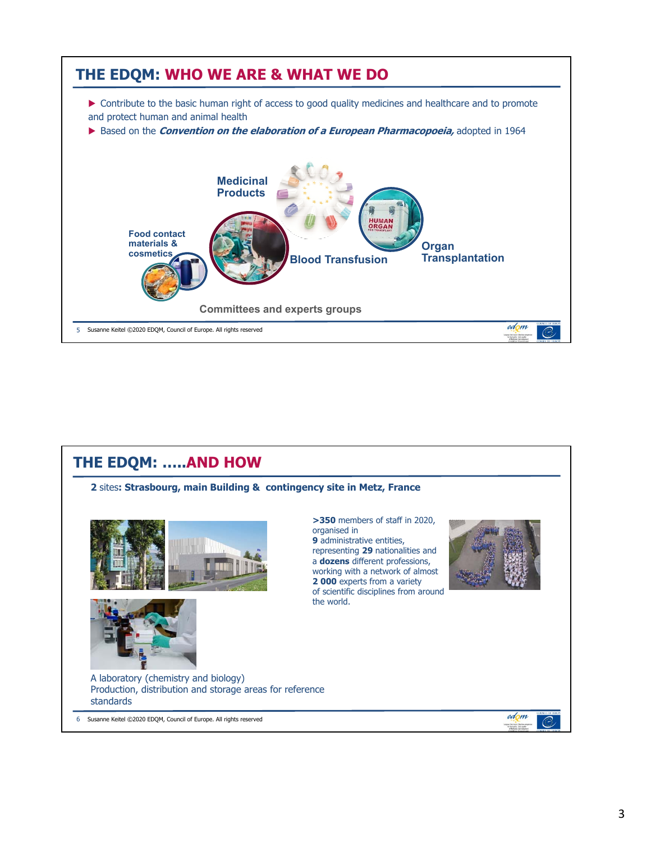

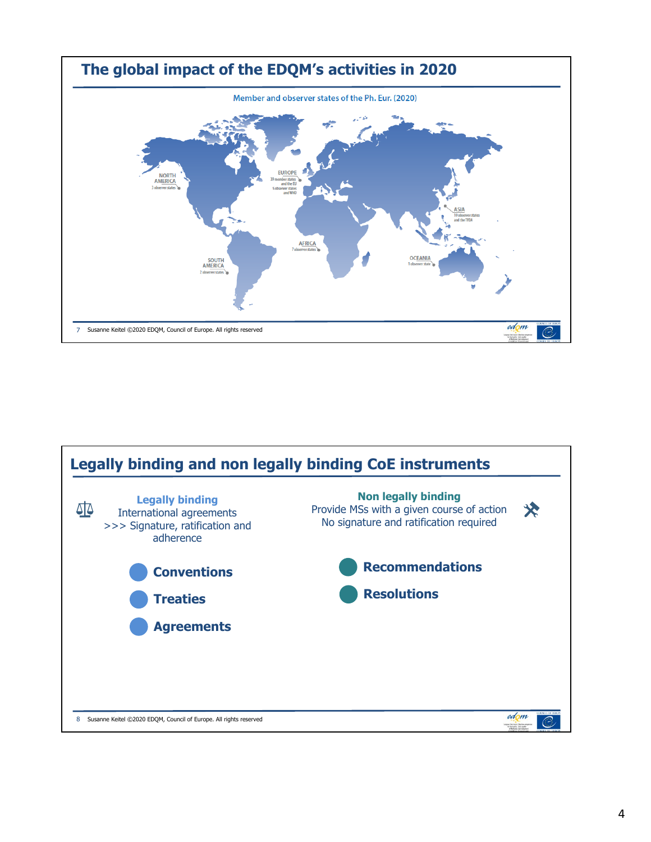

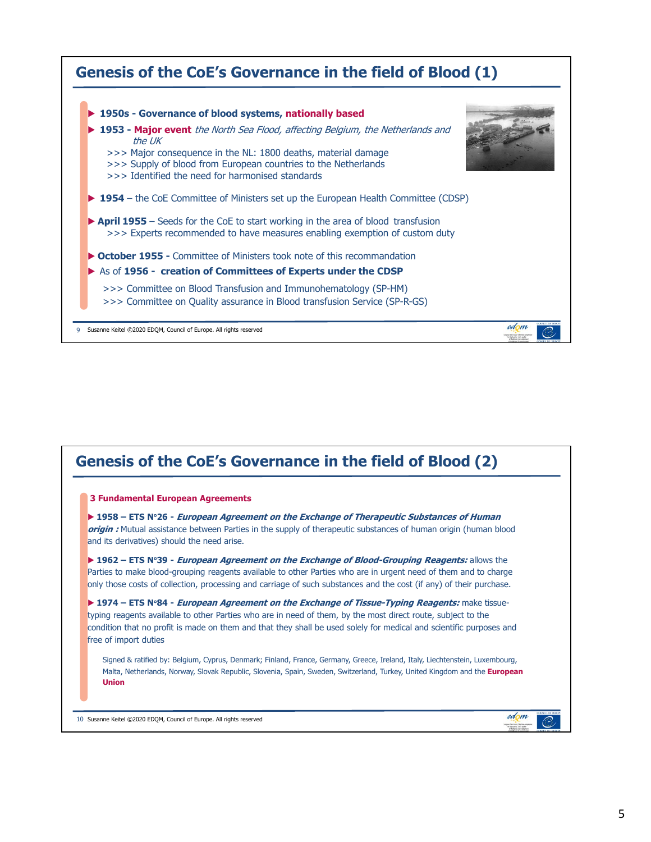

## **Genesis of the CoE's Governance in the field of Blood (2)**

## **3 Fundamental European Agreements**

▶ **1958 – ETS N**°**26 - European Agreement on the Exchange of Therapeutic Substances of Human origin :** Mutual assistance between Parties in the supply of therapeutic substances of human origin (human blood and its derivatives) should the need arise.

▶ **1962 – ETS N**°**39 - European Agreement on the Exchange of Blood-Grouping Reagents:** allows the Parties to make blood-grouping reagents available to other Parties who are in urgent need of them and to charge only those costs of collection, processing and carriage of such substances and the cost (if any) of their purchase.

**• 1974 – ETS N°84 - European Agreement on the Exchange of Tissue-Typing Reagents: make tissue**typing reagents available to other Parties who are in need of them, by the most direct route, subject to the condition that no profit is made on them and that they shall be used solely for medical and scientific purposes and free of import duties

Signed & ratified by: Belgium, Cyprus, Denmark; Finland, France, Germany, Greece, Ireland, Italy, Liechtenstein, Luxembourg, Malta, Netherlands, Norway, Slovak Republic, Slovenia, Spain, Sweden, Switzerland, Turkey, United Kingdom and the **European Union**

10 Susanne Keitel ©2020 EDQM, Council of Europe. All rights reserved

edom

C.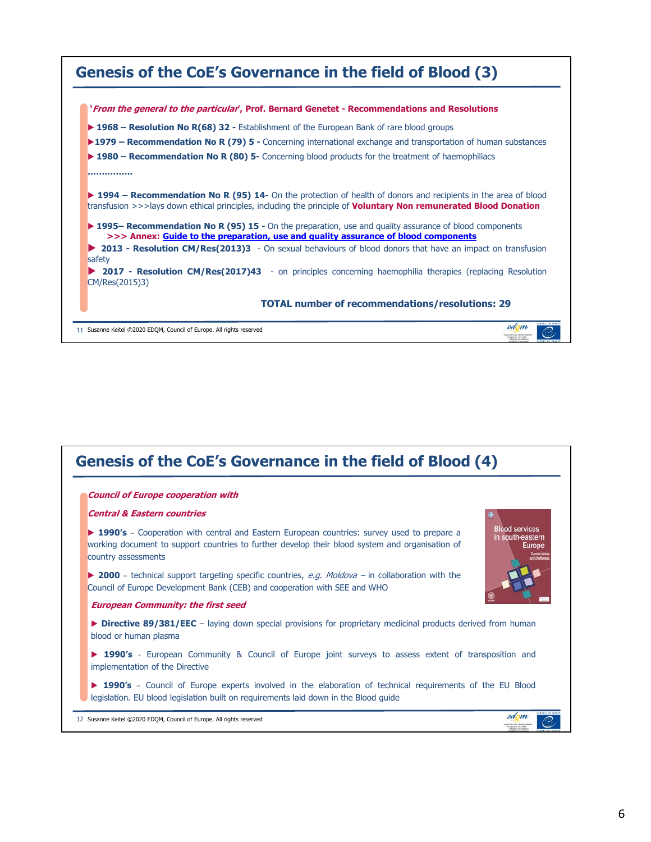| Genesis of the CoE's Governance in the field of Blood (3)                                                                                                                                                                                         |
|---------------------------------------------------------------------------------------------------------------------------------------------------------------------------------------------------------------------------------------------------|
| 'From the general to the particular', Prof. Bernard Genetet - Recommendations and Resolutions                                                                                                                                                     |
| <b>► 1968 – Resolution No R(68) 32 - Establishment of the European Bank of rare blood groups</b>                                                                                                                                                  |
| ▶ 1979 – Recommendation No R (79) 5 - Concerning international exchange and transportation of human substances                                                                                                                                    |
| ▶ 1980 – Recommendation No R $(80)$ 5- Concerning blood products for the treatment of haemophiliacs                                                                                                                                               |
|                                                                                                                                                                                                                                                   |
| <b>► 1994 – Recommendation No R (95) 14-</b> On the protection of health of donors and recipients in the area of blood<br>transfusion >>>lays down ethical principles, including the principle of <b>Voluntary Non remunerated Blood Donation</b> |
| <b>► 1995– Recommendation No R (95) 15 -</b> On the preparation, use and quality assurance of blood components<br>>>> Annex: Guide to the preparation, use and quality assurance of blood components                                              |
| 2013 - Resolution CM/Res(2013)3 - On sexual behaviours of blood donors that have an impact on transfusion<br>safety                                                                                                                               |
| <b>2017 - Resolution CM/Res(2017)43</b> - on principles concerning haemophilia therapies (replacing Resolution<br>CM/Res(2015)3)                                                                                                                  |
| <b>TOTAL number of recommendations/resolutions: 29</b>                                                                                                                                                                                            |
| edom<br>11 Susanne Keitel ©2020 EDOM, Council of Europe. All rights reserved                                                                                                                                                                      |

| <b>Council of Europe cooperation with</b> |                                                                                                                                                                                                      |                                                     |
|-------------------------------------------|------------------------------------------------------------------------------------------------------------------------------------------------------------------------------------------------------|-----------------------------------------------------|
| <b>Central &amp; Eastern countries</b>    |                                                                                                                                                                                                      |                                                     |
| country assessments                       | <b>1990's</b> – Cooperation with central and Eastern European countries: survey used to prepare a<br>working document to support countries to further develop their blood system and organisation of | <b>Blood services</b><br>in south-eastern<br>Europe |
|                                           | ▶ 2000 – technical support targeting specific countries, e.g. Moldova – in collaboration with the<br>Council of Europe Development Bank (CEB) and cooperation with SEE and WHO                       |                                                     |
|                                           | <b>European Community: the first seed</b>                                                                                                                                                            |                                                     |
| blood or human plasma                     | <b>Directive 89/381/EEC</b> – laying down special provisions for proprietary medicinal products derived from human                                                                                   |                                                     |
|                                           | ▶ 1990's - European Community & Council of Europe joint surveys to assess extent of transposition and<br>implementation of the Directive                                                             |                                                     |
|                                           | ▶ 1990's - Council of Europe experts involved in the elaboration of technical requirements of the EU Blood<br>legislation. EU blood legislation built on requirements laid down in the Blood guide   |                                                     |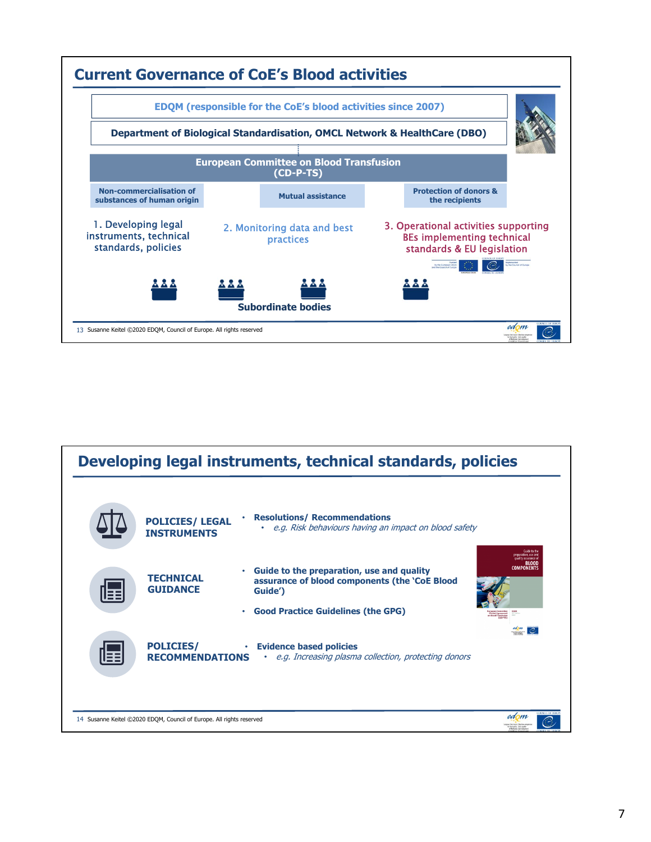

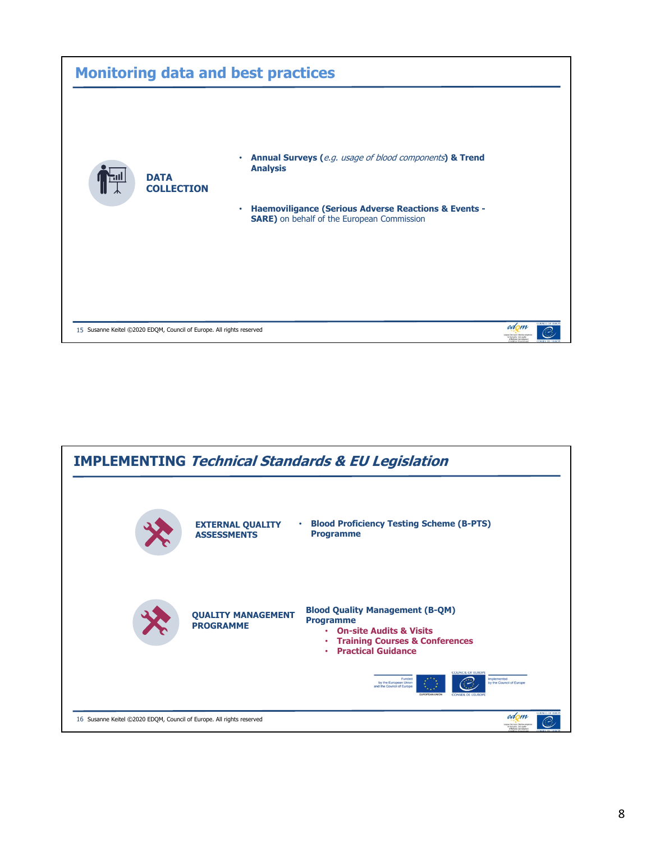